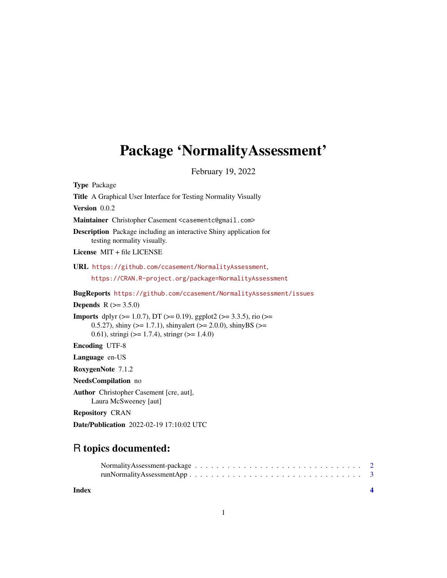### Package 'NormalityAssessment'

February 19, 2022

Type Package Title A Graphical User Interface for Testing Normality Visually Version 0.0.2 Maintainer Christopher Casement <casementc@gmail.com> Description Package including an interactive Shiny application for testing normality visually. License MIT + file LICENSE URL <https://github.com/ccasement/NormalityAssessment>, <https://CRAN.R-project.org/package=NormalityAssessment> BugReports <https://github.com/ccasement/NormalityAssessment/issues> **Depends** R  $(>= 3.5.0)$ **Imports** dplyr ( $>= 1.0.7$ ), DT ( $>= 0.19$ ), ggplot2 ( $>= 3.3.5$ ), rio ( $>=$ 0.5.27), shiny ( $>= 1.7.1$ ), shinyalert ( $>= 2.0.0$ ), shinyBS ( $>=$ 0.61), stringi (>= 1.7.4), stringr (>= 1.4.0) Encoding UTF-8 Language en-US RoxygenNote 7.1.2 NeedsCompilation no Author Christopher Casement [cre, aut], Laura McSweeney [aut] Repository CRAN

## R topics documented:

Date/Publication 2022-02-19 17:10:02 UTC

| Normality Assessment-package $\ldots \ldots \ldots \ldots \ldots \ldots \ldots \ldots \ldots \ldots \ldots 2$ |  |  |  |  |  |  |  |  |  |  |  |  |  |  |  |
|---------------------------------------------------------------------------------------------------------------|--|--|--|--|--|--|--|--|--|--|--|--|--|--|--|
|                                                                                                               |  |  |  |  |  |  |  |  |  |  |  |  |  |  |  |

**Index** [4](#page-3-0)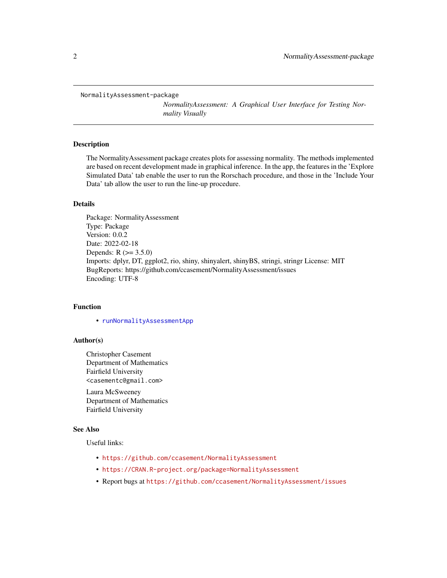```
NormalityAssessment-package
```
*NormalityAssessment: A Graphical User Interface for Testing Normality Visually*

#### **Description**

The NormalityAssessment package creates plots for assessing normality. The methods implemented are based on recent development made in graphical inference. In the app, the features in the 'Explore Simulated Data' tab enable the user to run the Rorschach procedure, and those in the 'Include Your Data' tab allow the user to run the line-up procedure.

#### Details

Package: NormalityAssessment Type: Package Version: 0.0.2 Date: 2022-02-18 Depends:  $R (= 3.5.0)$ Imports: dplyr, DT, ggplot2, rio, shiny, shinyalert, shinyBS, stringi, stringr License: MIT BugReports: https://github.com/ccasement/NormalityAssessment/issues Encoding: UTF-8

#### Function

• [runNormalityAssessmentApp](#page-2-1)

#### Author(s)

Christopher Casement Department of Mathematics Fairfield University <casementc@gmail.com>

Laura McSweeney Department of Mathematics Fairfield University

#### See Also

Useful links:

- <https://github.com/ccasement/NormalityAssessment>
- <https://CRAN.R-project.org/package=NormalityAssessment>
- Report bugs at <https://github.com/ccasement/NormalityAssessment/issues>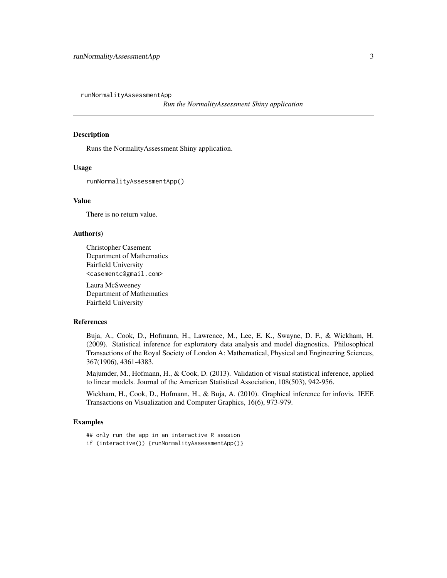<span id="page-2-1"></span><span id="page-2-0"></span>runNormalityAssessmentApp

*Run the NormalityAssessment Shiny application*

#### Description

Runs the NormalityAssessment Shiny application.

#### Usage

runNormalityAssessmentApp()

#### Value

There is no return value.

#### Author(s)

Christopher Casement Department of Mathematics Fairfield University <casementc@gmail.com>

Laura McSweeney Department of Mathematics Fairfield University

#### References

Buja, A., Cook, D., Hofmann, H., Lawrence, M., Lee, E. K., Swayne, D. F., & Wickham, H. (2009). Statistical inference for exploratory data analysis and model diagnostics. Philosophical Transactions of the Royal Society of London A: Mathematical, Physical and Engineering Sciences, 367(1906), 4361-4383.

Majumder, M., Hofmann, H., & Cook, D. (2013). Validation of visual statistical inference, applied to linear models. Journal of the American Statistical Association, 108(503), 942-956.

Wickham, H., Cook, D., Hofmann, H., & Buja, A. (2010). Graphical inference for infovis. IEEE Transactions on Visualization and Computer Graphics, 16(6), 973-979.

#### Examples

- ## only run the app in an interactive R session
- if (interactive()) {runNormalityAssessmentApp()}